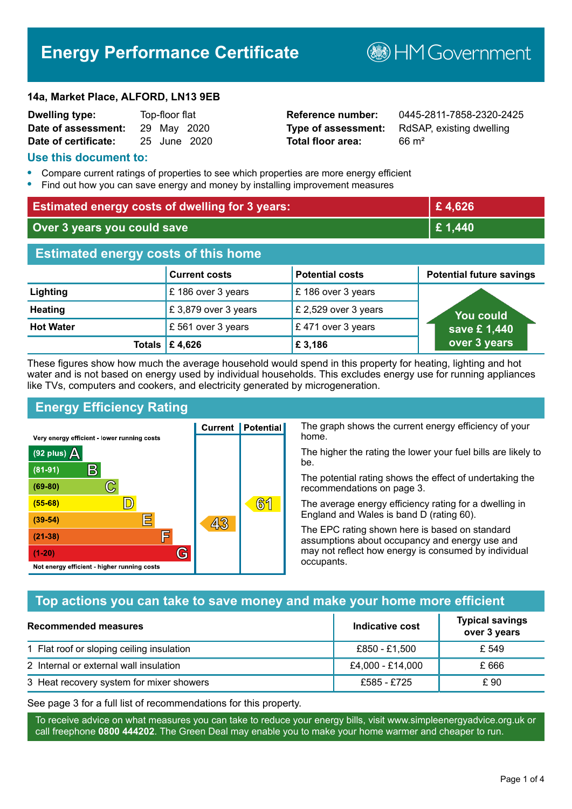# **Energy Performance Certificate**

**B**HM Government

#### **14a, Market Place, ALFORD, LN13 9EB**

| <b>Dwelling type:</b> | Top-floor flat |              |
|-----------------------|----------------|--------------|
| Date of assessment:   | 29 May 2020    |              |
| Date of certificate:  |                | 25 June 2020 |

**Total floor area:** 66 m<sup>2</sup>

**Reference number:** 0445-2811-7858-2320-2425 **Type of assessment:** RdSAP, existing dwelling

#### **Use this document to:**

- **•** Compare current ratings of properties to see which properties are more energy efficient
- **•** Find out how you can save energy and money by installing improvement measures

| <b>Estimated energy costs of dwelling for 3 years:</b> |                           | £4,626                 |                                 |
|--------------------------------------------------------|---------------------------|------------------------|---------------------------------|
| Over 3 years you could save                            |                           | £ 1,440                |                                 |
| <b>Estimated energy costs of this home</b>             |                           |                        |                                 |
|                                                        | <b>Current costs</b>      | <b>Potential costs</b> | <b>Potential future savings</b> |
| Lighting                                               | £186 over 3 years         | £186 over 3 years      |                                 |
| <b>Heating</b>                                         | £3,879 over 3 years       | £ 2,529 over 3 years   | <b>You could</b>                |
| <b>Hot Water</b>                                       | £561 over 3 years         | £471 over 3 years      | save £1,440                     |
|                                                        | Totals $\mathsf{E}$ 4,626 | £3,186                 | over 3 years                    |

These figures show how much the average household would spend in this property for heating, lighting and hot water and is not based on energy used by individual households. This excludes energy use for running appliances like TVs, computers and cookers, and electricity generated by microgeneration.

**Current | Potential** 

43

## **Energy Efficiency Rating**

C

 $\mathbb{D}$ 

巨

庐

G

Very energy efficient - lower running costs

 $\mathsf{R}% _{T}$ 

Not energy efficient - higher running costs

(92 plus)  $\Delta$ 

 $(81 - 91)$ 

 $(69 - 80)$ 

 $(55-68)$ 

 $(39 - 54)$ 

 $(21-38)$ 

 $(1-20)$ 

The graph shows the current energy efficiency of your home.

The higher the rating the lower your fuel bills are likely to be.

The potential rating shows the effect of undertaking the recommendations on page 3.

The average energy efficiency rating for a dwelling in England and Wales is band D (rating 60).

The EPC rating shown here is based on standard assumptions about occupancy and energy use and may not reflect how energy is consumed by individual occupants.

## **Top actions you can take to save money and make your home more efficient**

61

| Recommended measures                      | Indicative cost  | <b>Typical savings</b><br>over 3 years |
|-------------------------------------------|------------------|----------------------------------------|
| 1 Flat roof or sloping ceiling insulation | £850 - £1,500    | £ 549                                  |
| 2 Internal or external wall insulation    | £4,000 - £14,000 | £ 666                                  |
| 3 Heat recovery system for mixer showers  | £585 - £725      | £ 90                                   |

See page 3 for a full list of recommendations for this property.

To receive advice on what measures you can take to reduce your energy bills, visit www.simpleenergyadvice.org.uk or call freephone **0800 444202**. The Green Deal may enable you to make your home warmer and cheaper to run.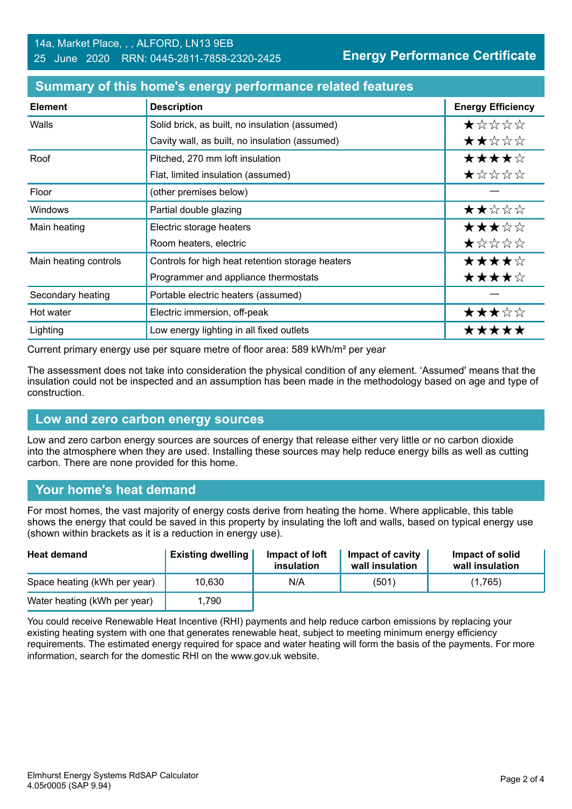| <b>Element</b>        | <b>Description</b>                               | <b>Energy Efficiency</b> |
|-----------------------|--------------------------------------------------|--------------------------|
| Walls                 | Solid brick, as built, no insulation (assumed)   | ★☆☆☆☆                    |
|                       | Cavity wall, as built, no insulation (assumed)   | ★★☆☆☆                    |
| Roof                  | Pitched, 270 mm loft insulation                  | ★★★★☆                    |
|                       | Flat, limited insulation (assumed)               | ★☆☆☆☆                    |
| Floor                 | (other premises below)                           |                          |
| Windows               | Partial double glazing                           | ★★☆☆☆                    |
| Main heating          | Electric storage heaters                         | ★★★☆☆                    |
|                       | Room heaters, electric                           | ★☆☆☆☆                    |
| Main heating controls | Controls for high heat retention storage heaters | ★★★★☆                    |
|                       | Programmer and appliance thermostats             | ★★★★☆                    |
| Secondary heating     | Portable electric heaters (assumed)              |                          |
| Hot water             | Electric immersion, off-peak                     | ★★★☆☆                    |
| Lighting              | Low energy lighting in all fixed outlets         | *****                    |

#### **Summary of this home's energy performance related features**

Current primary energy use per square metre of floor area: 589 kWh/m² per year

The assessment does not take into consideration the physical condition of any element. 'Assumed' means that the insulation could not be inspected and an assumption has been made in the methodology based on age and type of construction.

### **Low and zero carbon energy sources**

Low and zero carbon energy sources are sources of energy that release either very little or no carbon dioxide into the atmosphere when they are used. Installing these sources may help reduce energy bills as well as cutting carbon. There are none provided for this home.

## **Your home's heat demand**

For most homes, the vast majority of energy costs derive from heating the home. Where applicable, this table shows the energy that could be saved in this property by insulating the loft and walls, based on typical energy use (shown within brackets as it is a reduction in energy use).

| <b>Heat demand</b>           | <b>Existing dwelling</b> | Impact of loft<br>insulation | Impact of cavity<br>wall insulation | Impact of solid<br>wall insulation |
|------------------------------|--------------------------|------------------------------|-------------------------------------|------------------------------------|
| Space heating (kWh per year) | 10,630                   | N/A                          | (501)                               | (1,765)                            |
| Water heating (kWh per year) | 1.790                    |                              |                                     |                                    |

You could receive Renewable Heat Incentive (RHI) payments and help reduce carbon emissions by replacing your existing heating system with one that generates renewable heat, subject to meeting minimum energy efficiency requirements. The estimated energy required for space and water heating will form the basis of the payments. For more information, search for the domestic RHI on the www.gov.uk website.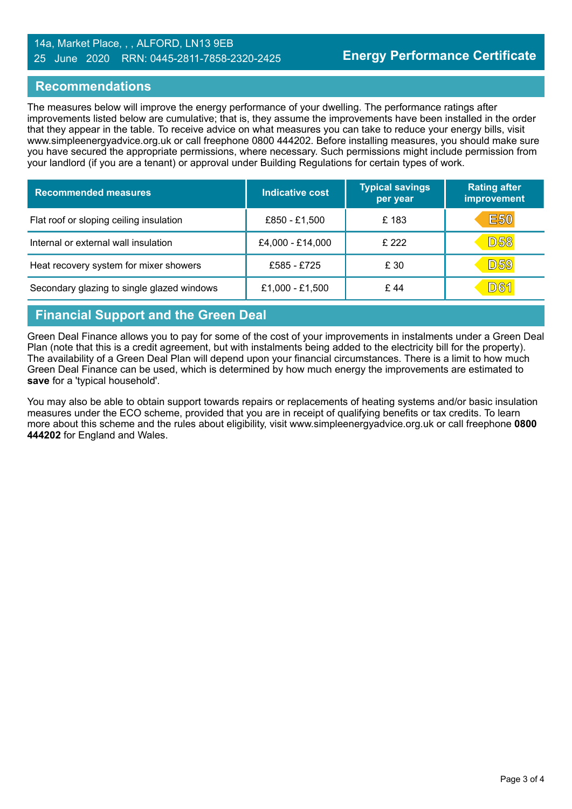#### 14a, Market Place, , , ALFORD, LN13 9EB 25 June 2020 RRN: 0445-2811-7858-2320-2425

## **Recommendations**

The measures below will improve the energy performance of your dwelling. The performance ratings after improvements listed below are cumulative; that is, they assume the improvements have been installed in the order that they appear in the table. To receive advice on what measures you can take to reduce your energy bills, visit www.simpleenergyadvice.org.uk or call freephone 0800 444202. Before installing measures, you should make sure you have secured the appropriate permissions, where necessary. Such permissions might include permission from your landlord (if you are a tenant) or approval under Building Regulations for certain types of work.

| <b>Recommended measures</b>                | <b>Indicative cost</b> | <b>Typical savings</b><br>per year | <b>Rating after</b><br>improvement |
|--------------------------------------------|------------------------|------------------------------------|------------------------------------|
| Flat roof or sloping ceiling insulation    | £850 - £1,500          | £183                               | <b>E50</b>                         |
| Internal or external wall insulation       | £4,000 - £14,000       | £ 222                              | <b>D58</b>                         |
| Heat recovery system for mixer showers     | £585 - £725            | £ 30                               | <b>D59</b>                         |
| Secondary glazing to single glazed windows | £1,000 - £1,500        | £44                                | <u>D61</u>                         |

## **Financial Support and the Green Deal**

Green Deal Finance allows you to pay for some of the cost of your improvements in instalments under a Green Deal Plan (note that this is a credit agreement, but with instalments being added to the electricity bill for the property). The availability of a Green Deal Plan will depend upon your financial circumstances. There is a limit to how much Green Deal Finance can be used, which is determined by how much energy the improvements are estimated to **save** for a 'typical household'.

You may also be able to obtain support towards repairs or replacements of heating systems and/or basic insulation measures under the ECO scheme, provided that you are in receipt of qualifying benefits or tax credits. To learn more about this scheme and the rules about eligibility, visit www.simpleenergyadvice.org.uk or call freephone **0800 444202** for England and Wales.